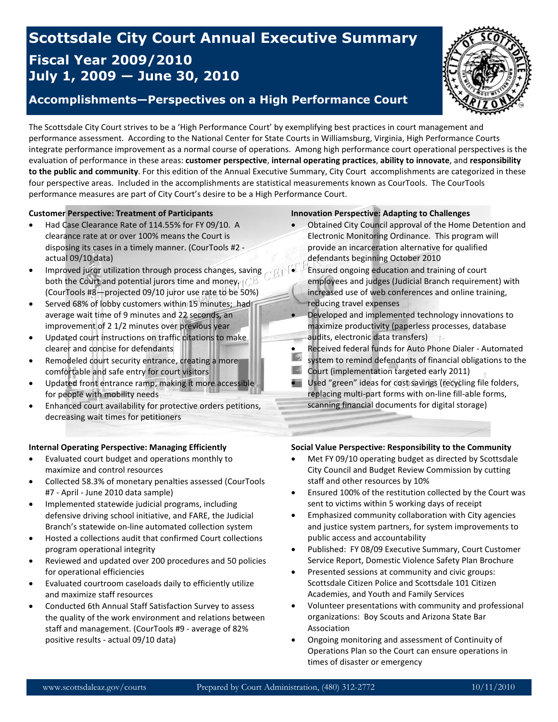## **Scottsdale City Court Annual Executive Summary Fiscal Year 2009/2010 July 1, 2009 — June 30, 2010**

## **Accomplishments—Perspectives on a High Performance Court**



The Scottsdale City Court strives to be a 'High Performance Court' by exemplifying best practices in court management and performance assessment. According to the National Center for State Courts in Williamsburg, Virginia, High Performance Courts integrate performance improvement as a normal course of operations. Among high performance court operational perspectives is the evaluation of performance in these areas: **customer perspective**, **internal operating practices**, **ability to innovate**, and **responsibility to the public and community**. For this edition of the Annual Executive Summary, City Court accomplishments are categorized in these four perspective areas. Included in the accomplishments are statistical measurements known as CourTools. The CourTools performance measures are part of City Court's desire to be a High Performance Court.

#### **Customer Perspective: Treatment of Participants**

- Had Case Clearance Rate of 114.55% for FY 09/10. A clearance rate at or over 100% means the Court is disposing its cases in a timely manner. (CourTools #2 actual 09/10 data)
- Improved juror utilization through process changes, saving both the Court and potential jurors time and money.  $($ (CourTools #8—projected 09/10 juror use rate to be 50%)
- Served 68% of lobby customers within 15 minutes; had average wait time of 9 minutes and 22 seconds, an improvement of 2 1/2 minutes over previous year
- Updated court instructions on traffic citations to make clearer and concise for defendants
- Remodeled court security entrance, creating a more comfortable and safe entry for court visitors
- Updated front entrance ramp, making it more accessible for people with mobility needs
- Enhanced court availability for protective orders petitions, decreasing wait times for petitioners

#### **Internal Operating Perspective: Managing Efficiently**

- Evaluated court budget and operations monthly to maximize and control resources
- Collected 58.3% of monetary penalties assessed (CourTools #7 - April - June 2010 data sample)
- Implemented statewide judicial programs, including defensive driving school initiative, and FARE, the Judicial Branch's statewide on-line automated collection system
- Hosted a collections audit that confirmed Court collections program operational integrity
- Reviewed and updated over 200 procedures and 50 policies for operational efficiencies
- Evaluated courtroom caseloads daily to efficiently utilize and maximize staff resources
- Conducted 6th Annual Staff Satisfaction Survey to assess the quality of the work environment and relations between staff and management. (CourTools #9 - average of 82% positive results - actual 09/10 data)

#### **Innovation Perspective: Adapting to Challenges**

- Obtained City Council approval of the Home Detention and Electronic Monitoring Ordinance. This program will provide an incarceration alternative for qualified defendants beginning October 2010
	- Ensured ongoing education and training of court employees and judges (Judicial Branch requirement) with increased use of web conferences and online training, reducing travel expenses
- Developed and implemented technology innovations to maximize productivity (paperless processes, database audits, electronic data transfers)
- Received federal funds for Auto Phone Dialer Automated<br>existent to remind defendants of financial obligations to the
- system to remind defendants of financial obligations to the
- **Court (implementation targeted early 2011)**
- Used "green" ideas for cost savings (recycling file folders, replacing multi-part forms with on-line fill-able forms, scanning financial documents for digital storage)

#### **Social Value Perspective: Responsibility to the Community**

- Met FY 09/10 operating budget as directed by Scottsdale City Council and Budget Review Commission by cutting staff and other resources by 10%
- Ensured 100% of the restitution collected by the Court was sent to victims within 5 working days of receipt
- Emphasized community collaboration with City agencies and justice system partners, for system improvements to public access and accountability
- Published: FY 08/09 Executive Summary, Court Customer Service Report, Domestic Violence Safety Plan Brochure
- Presented sessions at community and civic groups: Scottsdale Citizen Police and Scottsdale 101 Citizen Academies, and Youth and Family Services
- Volunteer presentations with community and professional organizations: Boy Scouts and Arizona State Bar Association
- Ongoing monitoring and assessment of Continuity of Operations Plan so the Court can ensure operations in times of disaster or emergency